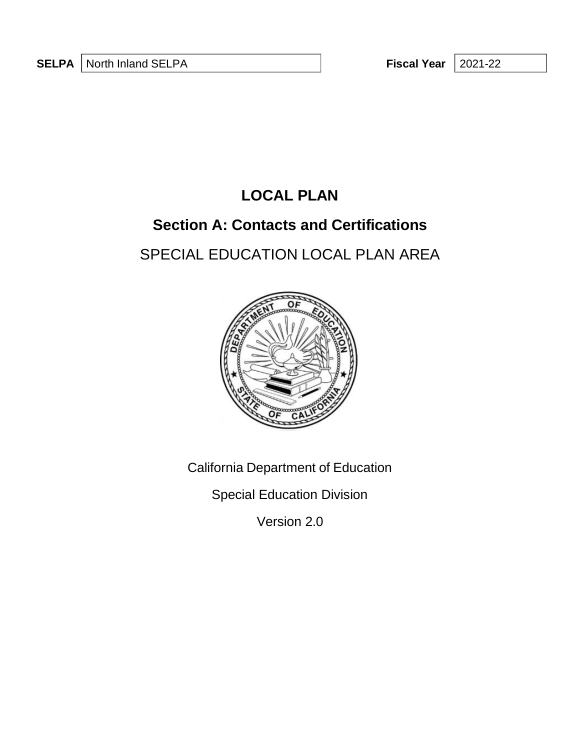2021-22

## **LOCAL PLAN**

## **Section A: Contacts and Certifications**

# SPECIAL EDUCATION LOCAL PLAN AREA



California Department of Education

Special Education Division

Version 2.0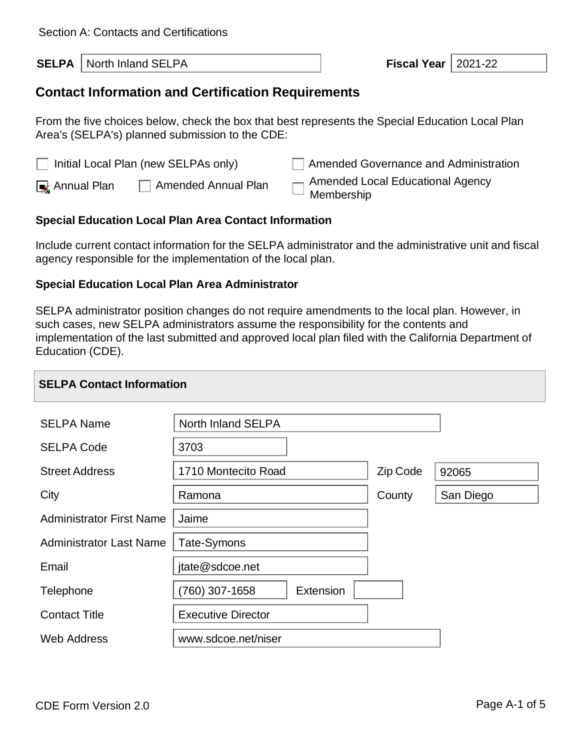| <b>SELPA</b>   North Inland SELPA | <b>Fiscal Year   2021-22</b> |  |
|-----------------------------------|------------------------------|--|
|                                   |                              |  |

## **Contact Information and Certification Requirements**

From the five choices below, check the box that best represents the Special Education Local Plan Area's (SELPA's) planned submission to the CDE:

| $\Box$ Initial Local Plan (new SELPAs only) | Amended Governance and Administration   |
|---------------------------------------------|-----------------------------------------|
| Amended Annual Plan                         | $\Box$ Amended Local Educational Agency |
| $\Box$ Annual Plan                          | $\Box$ Membership                       |

### **Special Education Local Plan Area Contact Information**

Include current contact information for the SELPA administrator and the administrative unit and fiscal agency responsible for the implementation of the local plan.

#### **Special Education Local Plan Area Administrator**

SELPA administrator position changes do not require amendments to the local plan. However, in such cases, new SELPA administrators assume the responsibility for the contents and implementation of the last submitted and approved local plan filed with the California Department of Education (CDE).

| <b>SELPA Contact Information</b> |                           |           |          |           |
|----------------------------------|---------------------------|-----------|----------|-----------|
| <b>SELPA Name</b>                | North Inland SELPA        |           |          |           |
| <b>SELPA Code</b>                | 3703                      |           |          |           |
| <b>Street Address</b>            | 1710 Montecito Road       |           | Zip Code | 92065     |
| City                             | Ramona                    |           | County   | San Diego |
| <b>Administrator First Name</b>  | Jaime                     |           |          |           |
| <b>Administrator Last Name</b>   | Tate-Symons               |           |          |           |
| Email                            | jtate@sdcoe.net           |           |          |           |
| Telephone                        | (760) 307-1658            | Extension |          |           |
| <b>Contact Title</b>             | <b>Executive Director</b> |           |          |           |
| <b>Web Address</b>               | www.sdcoe.net/niser       |           |          |           |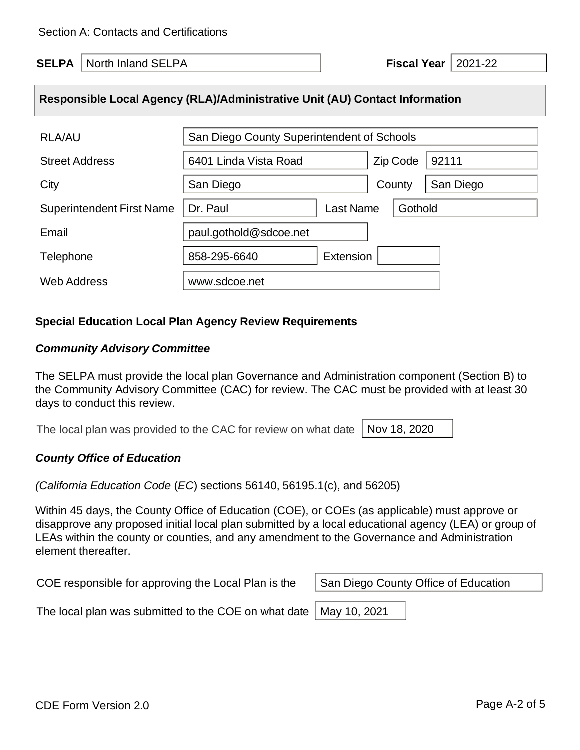**SELPA** North Inland SELPA **Fiscal Year** 2021-22

## **Responsible Local Agency (RLA)/Administrative Unit (AU) Contact Information**

| <b>RLA/AU</b>                    | San Diego County Superintendent of Schools |          |           |
|----------------------------------|--------------------------------------------|----------|-----------|
| <b>Street Address</b>            | 6401 Linda Vista Road                      | Zip Code | 92111     |
| City                             | San Diego                                  | County   | San Diego |
| <b>Superintendent First Name</b> | Last Name<br>Dr. Paul                      | Gothold  |           |
| Email                            | paul.gothold@sdcoe.net                     |          |           |
| Telephone                        | Extension<br>858-295-6640                  |          |           |
| <b>Web Address</b>               | www.sdcoe.net                              |          |           |

#### **Special Education Local Plan Agency Review Requirements**

#### *Community Advisory Committee*

The SELPA must provide the local plan Governance and Administration component (Section B) to the Community Advisory Committee (CAC) for review. The CAC must be provided with at least 30 days to conduct this review.

The local plan was provided to the CAC for review on what date Nov 18, 2020

#### *County Office of Education*

*(California Education Code* (*EC*) sections 56140, 56195.1(c), and 56205)

Within 45 days, the County Office of Education (COE), or COEs (as applicable) must approve or disapprove any proposed initial local plan submitted by a local educational agency (LEA) or group of LEAs within the county or counties, and any amendment to the Governance and Administration element thereafter.

COE responsible for approving the Local Plan is the

San Diego County Office of Education

The local plan was submitted to the COE on what date

May 10, 2021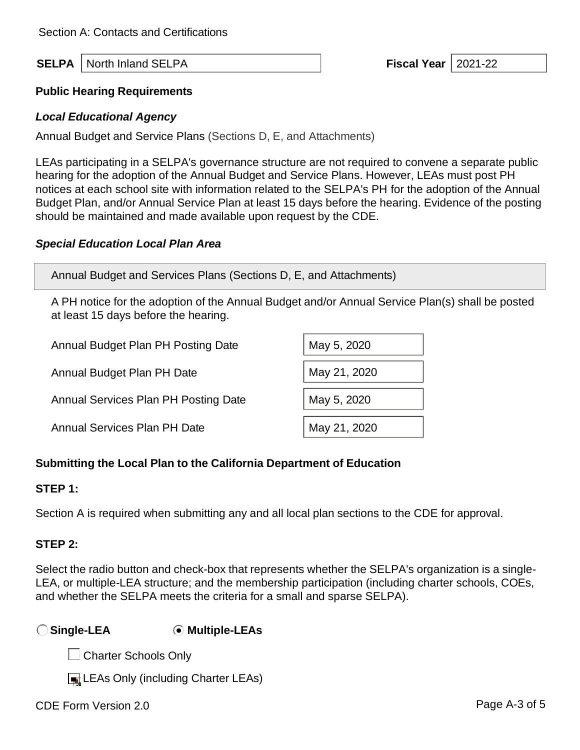**SELPA** North Inland SELPA **Fiscal Year** 2021-22

#### **Public Hearing Requirements**

#### *Local Educational Agency*

Annual Budget and Service Plans (Sections D, E, and Attachments)

LEAs participating in a SELPA's governance structure are not required to convene a separate public hearing for the adoption of the Annual Budget and Service Plans. However, LEAs must post PH notices at each school site with information related to the SELPA's PH for the adoption of the Annual Budget Plan, and/or Annual Service Plan at least 15 days before the hearing. Evidence of the posting should be maintained and made available upon request by the CDE.

### *Special Education Local Plan Area*

Annual Budget and Services Plans (Sections D, E, and Attachments)

A PH notice for the adoption of the Annual Budget and/or Annual Service Plan(s) shall be posted at least 15 days before the hearing.

| Annual Budget Plan PH Posting Date   | May 5, 2020  |
|--------------------------------------|--------------|
| Annual Budget Plan PH Date           | May 21, 2020 |
| Annual Services Plan PH Posting Date | May 5, 2020  |
| <b>Annual Services Plan PH Date</b>  | May 21, 2020 |

## **Submitting the Local Plan to the California Department of Education**

#### **STEP 1:**

Section A is required when submitting any and all local plan sections to the CDE for approval.

## **STEP 2:**

Select the radio button and check-box that represents whether the SELPA's organization is a single-LEA, or multiple-LEA structure; and the membership participation (including charter schools, COEs, and whether the SELPA meets the criteria for a small and sparse SELPA).

## **Single-LEA Multiple-LEAs**

**□ Charter Schools Only** 

LEAs Only (including Charter LEAs)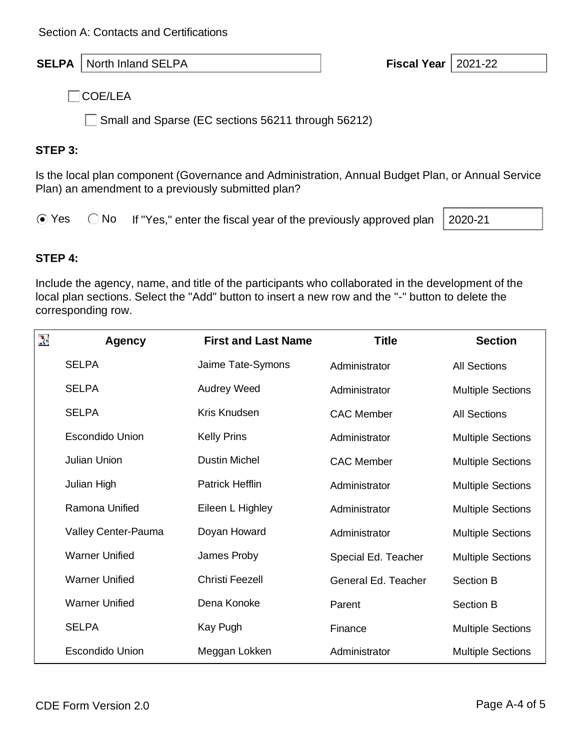**SELPA** North Inland SELPA **Fiscal Year Fiscal Year** 2021-22

 $\Box$ COE/LEA

Small and Sparse (EC sections 56211 through 56212)

## **STEP 3:**

Is the local plan component (Governance and Administration, Annual Budget Plan, or Annual Service Plan) an amendment to a previously submitted plan?

 $\odot$  Yes  $\odot$  No If "Yes," enter the fiscal year of the previously approved plan

2020-21

## **STEP 4:**

Include the agency, name, and title of the participants who collaborated in the development of the local plan sections. Select the "Add" button to insert a new row and the "-" button to delete the corresponding row.

| $\sum_{i=1}^{n}$ | Agency                 | <b>First and Last Name</b> | <b>Title</b>        | <b>Section</b>           |
|------------------|------------------------|----------------------------|---------------------|--------------------------|
|                  | <b>SELPA</b>           | Jaime Tate-Symons          | Administrator       | <b>All Sections</b>      |
|                  | <b>SELPA</b>           | <b>Audrey Weed</b>         | Administrator       | <b>Multiple Sections</b> |
|                  | <b>SELPA</b>           | Kris Knudsen               | <b>CAC Member</b>   | <b>All Sections</b>      |
|                  | <b>Escondido Union</b> | <b>Kelly Prins</b>         | Administrator       | <b>Multiple Sections</b> |
|                  | <b>Julian Union</b>    | <b>Dustin Michel</b>       | <b>CAC Member</b>   | <b>Multiple Sections</b> |
|                  | Julian High            | <b>Patrick Hefflin</b>     | Administrator       | <b>Multiple Sections</b> |
|                  | Ramona Unified         | Eileen L Highley           | Administrator       | <b>Multiple Sections</b> |
|                  | Valley Center-Pauma    | Doyan Howard               | Administrator       | <b>Multiple Sections</b> |
|                  | <b>Warner Unified</b>  | James Proby                | Special Ed. Teacher | <b>Multiple Sections</b> |
|                  | <b>Warner Unified</b>  | <b>Christi Feezell</b>     | General Ed. Teacher | <b>Section B</b>         |
|                  | <b>Warner Unified</b>  | Dena Konoke                | Parent              | <b>Section B</b>         |
|                  | <b>SELPA</b>           | Kay Pugh                   | Finance             | <b>Multiple Sections</b> |
|                  | <b>Escondido Union</b> | Meggan Lokken              | Administrator       | <b>Multiple Sections</b> |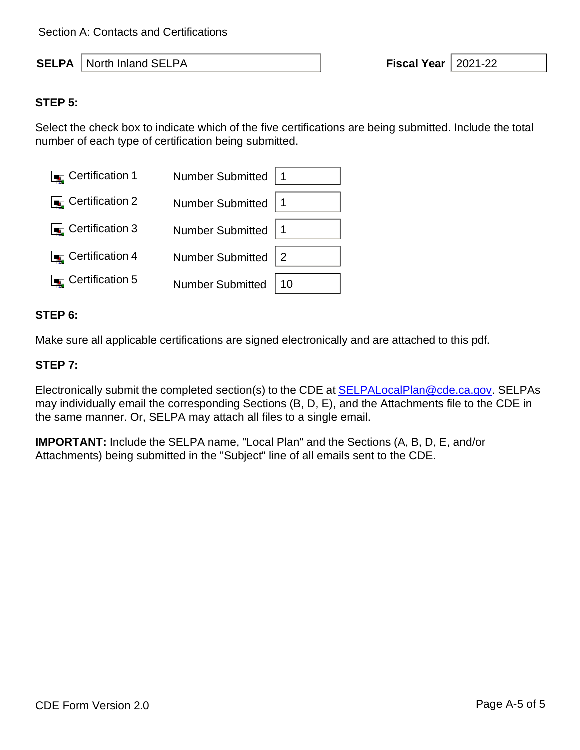**SELPA** North Inland SELPA **Fiscal Year** 2021-22

#### **STEP 5:**

Select the check box to indicate which of the five certifications are being submitted. Include the total number of each type of certification being submitted.

| Certification 1 | Number Submitted   1        |    |
|-----------------|-----------------------------|----|
| Certification 2 | Number Submitted   1        |    |
| Certification 3 | Number Submitted   1        |    |
| Certification 4 | Number Submitted $\sqrt{2}$ |    |
| Certification 5 | Number Submitted            | 10 |

#### **STEP 6:**

Make sure all applicable certifications are signed electronically and are attached to this pdf.

#### **STEP 7:**

Electronically submit the completed section(s) to the CDE at **SELPALocalPlan@cde.ca.gov.** SELPAs may individually email the corresponding Sections (B, D, E), and the Attachments file to the CDE in the same manner. Or, SELPA may attach all files to a single email.

**IMPORTANT:** Include the SELPA name, "Local Plan" and the Sections (A, B, D, E, and/or Attachments) being submitted in the "Subject" line of all emails sent to the CDE.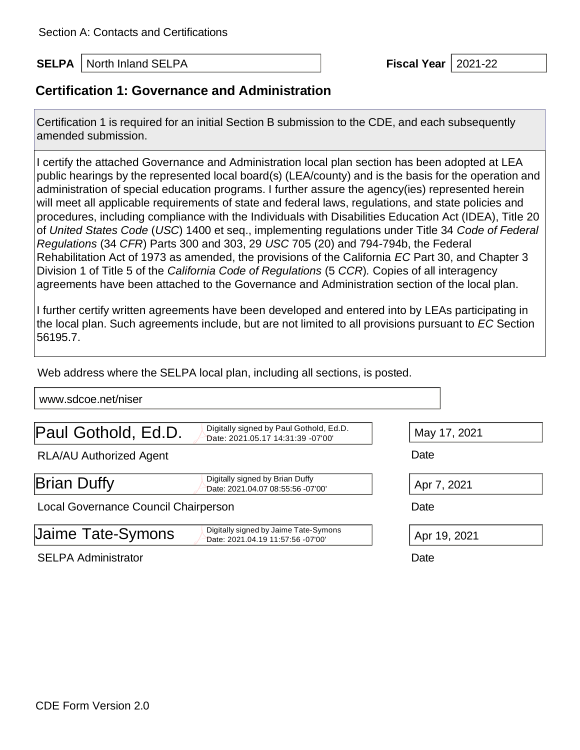**SELPA** North Inland SELPA **Fiscal Year** 1 2021-22

## **Certification 1: Governance and Administration**

Certification 1 is required for an initial Section B submission to the CDE, and each subsequently amended submission.

I certify the attached Governance and Administration local plan section has been adopted at LEA public hearings by the represented local board(s) (LEA/county) and is the basis for the operation and administration of special education programs. I further assure the agency(ies) represented herein will meet all applicable requirements of state and federal laws, regulations, and state policies and procedures, including compliance with the Individuals with Disabilities Education Act (IDEA), Title 20 of *United States Code* (*USC*) 1400 et seq., implementing regulations under Title 34 *Code of Federal Regulations* (34 *CFR*) Parts 300 and 303, 29 *USC* 705 (20) and 794-794b, the Federal Rehabilitation Act of 1973 as amended, the provisions of the California *EC* Part 30, and Chapter 3 Division 1 of Title 5 of the *California Code of Regulations* (5 *CCR*)*.* Copies of all interagency agreements have been attached to the Governance and Administration section of the local plan.

I further certify written agreements have been developed and entered into by LEAs participating in the local plan. Such agreements include, but are not limited to all provisions pursuant to *EC* Section 56195.7.

Web address where the SELPA local plan, including all sections, is posted.

[www.sdcoe.net/niser](http://www.sdcoe.net/niser)

**Paul Gothold, Ed.D.**  $\sum_{\text{Data: 2021.05.17.14.31.39.07.00}}$ 

Digitally signed by Paul Gothold, Ed.D.<br>Date: 2021.05.17 14:31:39 -07'00'

RLA/AU Authorized Agent **Date** Date

 $\mathsf{Brian}$  Digitally signed by Brian Duffy

Date: 2021.04.07 08:55:56 -07'00' Apr 7, 2021

Local Governance Council Chairperson Date

| Jaime Tate-Symons | Digitally signed by Jaime Tate-Symons<br>Date: 2021.04.19 11:57:56 -07'00' |  |  |
|-------------------|----------------------------------------------------------------------------|--|--|
|                   |                                                                            |  |  |

SELPA Administrator Date